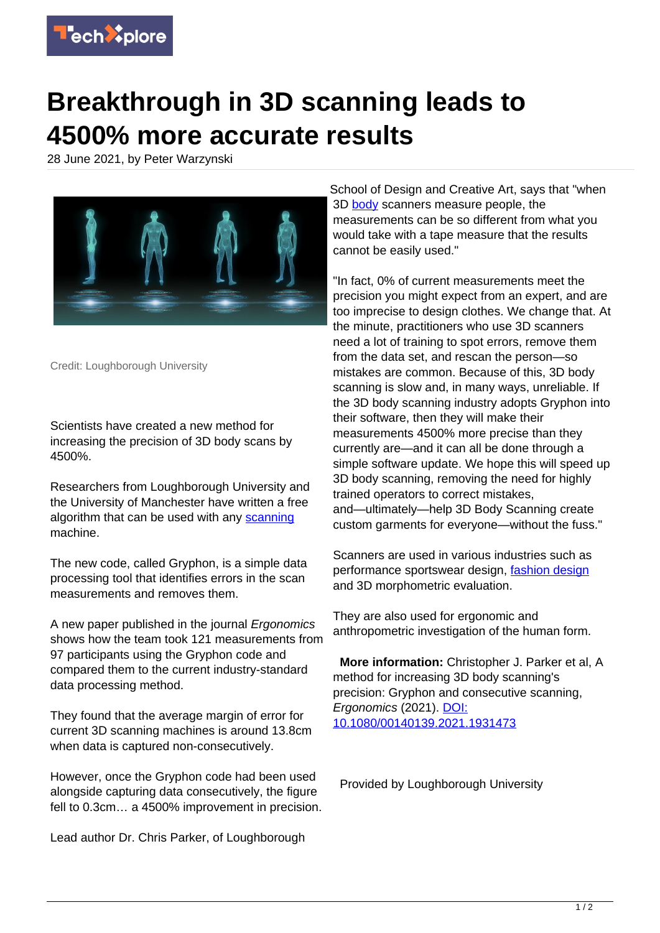

## **Breakthrough in 3D scanning leads to 4500% more accurate results**

28 June 2021, by Peter Warzynski



Credit: Loughborough University

Scientists have created a new method for increasing the precision of 3D body scans by 4500%.

Researchers from Loughborough University and the University of Manchester have written a free algorithm that can be used with any [scanning](https://techxplore.com/tags/scanning/) machine.

The new code, called Gryphon, is a simple data processing tool that identifies errors in the scan measurements and removes them.

A new paper published in the journal Ergonomics shows how the team took 121 measurements from 97 participants using the Gryphon code and compared them to the current industry-standard data processing method.

They found that the average margin of error for current 3D scanning machines is around 13.8cm when data is captured non-consecutively.

However, once the Gryphon code had been used alongside capturing data consecutively, the figure fell to 0.3cm… a 4500% improvement in precision.

Lead author Dr. Chris Parker, of Loughborough

School of Design and Creative Art, says that "when 3D [body](https://techxplore.com/tags/body/) scanners measure people, the measurements can be so different from what you would take with a tape measure that the results cannot be easily used."

"In fact, 0% of current measurements meet the precision you might expect from an expert, and are too imprecise to design clothes. We change that. At the minute, practitioners who use 3D scanners need a lot of training to spot errors, remove them from the data set, and rescan the person—so mistakes are common. Because of this, 3D body scanning is slow and, in many ways, unreliable. If the 3D body scanning industry adopts Gryphon into their software, then they will make their measurements 4500% more precise than they currently are—and it can all be done through a simple software update. We hope this will speed up 3D body scanning, removing the need for highly trained operators to correct mistakes, and—ultimately—help 3D Body Scanning create custom garments for everyone—without the fuss."

Scanners are used in various industries such as performance sportswear design, [fashion design](https://techxplore.com/tags/fashion+design/) and 3D morphometric evaluation.

They are also used for ergonomic and anthropometric investigation of the human form.

 **More information:** Christopher J. Parker et al, A method for increasing 3D body scanning's precision: Gryphon and consecutive scanning, Ergonomics (2021). [DOI:](http://dx.doi.org/10.1080/00140139.2021.1931473) [10.1080/00140139.2021.1931473](http://dx.doi.org/10.1080/00140139.2021.1931473)

Provided by Loughborough University